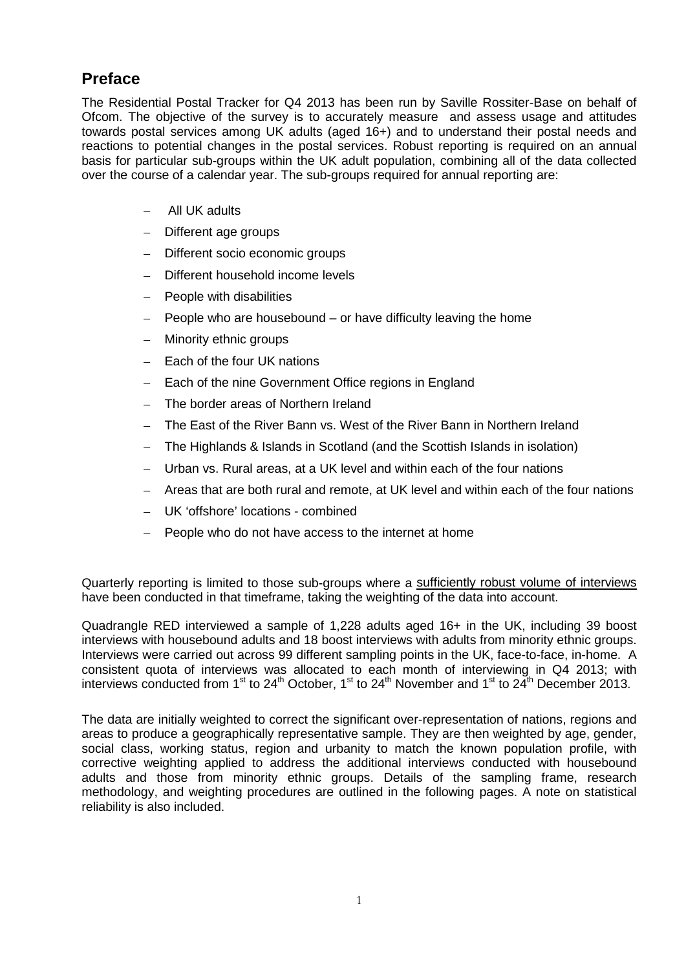### **Preface**

The Residential Postal Tracker for Q4 2013 has been run by Saville Rossiter-Base on behalf of Ofcom. The objective of the survey is to accurately measure and assess usage and attitudes towards postal services among UK adults (aged 16+) and to understand their postal needs and reactions to potential changes in the postal services. Robust reporting is required on an annual basis for particular sub-groups within the UK adult population, combining all of the data collected over the course of a calendar year. The sub-groups required for annual reporting are:

- All UK adults
- Different age groups
- Different socio economic groups
- Different household income levels
- People with disabilities
- People who are housebound or have difficulty leaving the home
- Minority ethnic groups
- Each of the four UK nations
- Each of the nine Government Office regions in England
- The border areas of Northern Ireland
- The East of the River Bann vs. West of the River Bann in Northern Ireland
- The Highlands & Islands in Scotland (and the Scottish Islands in isolation)
- Urban vs. Rural areas, at a UK level and within each of the four nations
- Areas that are both rural and remote, at UK level and within each of the four nations
- UK 'offshore' locations combined
- People who do not have access to the internet at home

Quarterly reporting is limited to those sub-groups where a sufficiently robust volume of interviews have been conducted in that timeframe, taking the weighting of the data into account.

Quadrangle RED interviewed a sample of 1,228 adults aged 16+ in the UK, including 39 boost interviews with housebound adults and 18 boost interviews with adults from minority ethnic groups. Interviews were carried out across 99 different sampling points in the UK, face-to-face, in-home. A consistent quota of interviews was allocated to each month of interviewing in Q4 2013; with interviews conducted from 1<sup>st</sup> to 24<sup>th</sup> October, 1<sup>st</sup> to 24<sup>th</sup> November and 1<sup>st</sup> to 24<sup>th</sup> December 2013.

The data are initially weighted to correct the significant over-representation of nations, regions and areas to produce a geographically representative sample. They are then weighted by age, gender, social class, working status, region and urbanity to match the known population profile, with corrective weighting applied to address the additional interviews conducted with housebound adults and those from minority ethnic groups. Details of the sampling frame, research methodology, and weighting procedures are outlined in the following pages. A note on statistical reliability is also included.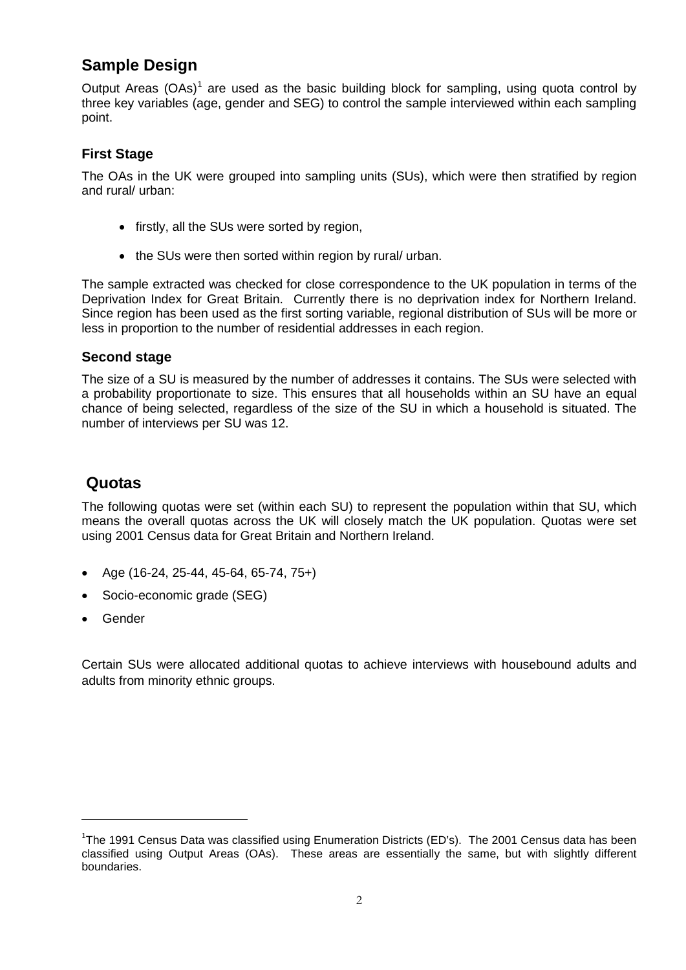# **Sample Design**

Output Areas  $(OAs)^1$  $(OAs)^1$  are used as the basic building block for sampling, using quota control by three key variables (age, gender and SEG) to control the sample interviewed within each sampling point.

#### **First Stage**

The OAs in the UK were grouped into sampling units (SUs), which were then stratified by region and rural/ urban:

- firstly, all the SUs were sorted by region,
- the SUs were then sorted within region by rural/ urban.

The sample extracted was checked for close correspondence to the UK population in terms of the Deprivation Index for Great Britain. Currently there is no deprivation index for Northern Ireland. Since region has been used as the first sorting variable, regional distribution of SUs will be more or less in proportion to the number of residential addresses in each region.

#### **Second stage**

The size of a SU is measured by the number of addresses it contains. The SUs were selected with a probability proportionate to size. This ensures that all households within an SU have an equal chance of being selected, regardless of the size of the SU in which a household is situated. The number of interviews per SU was 12.

### **Quotas**

The following quotas were set (within each SU) to represent the population within that SU, which means the overall quotas across the UK will closely match the UK population. Quotas were set using 2001 Census data for Great Britain and Northern Ireland.

- Age (16-24, 25-44, 45-64, 65-74, 75+)
- Socio-economic grade (SEG)
- Gender

<u>.</u>

Certain SUs were allocated additional quotas to achieve interviews with housebound adults and adults from minority ethnic groups.

<span id="page-1-0"></span><sup>&</sup>lt;sup>1</sup>The 1991 Census Data was classified using Enumeration Districts (ED's). The 2001 Census data has been classified using Output Areas (OAs). These areas are essentially the same, but with slightly different boundaries.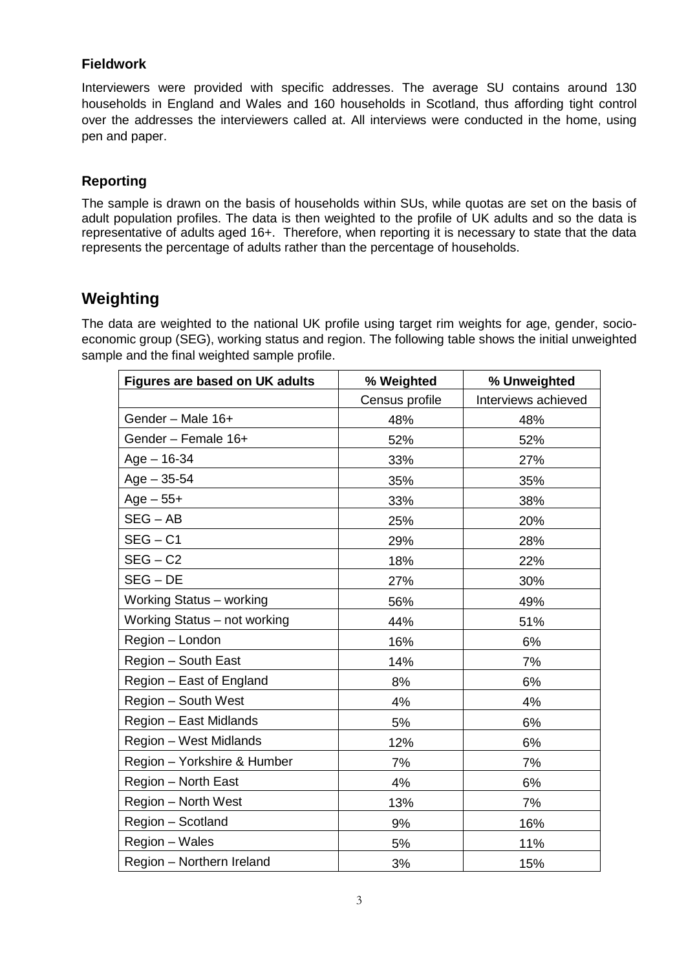#### **Fieldwork**

Interviewers were provided with specific addresses. The average SU contains around 130 households in England and Wales and 160 households in Scotland, thus affording tight control over the addresses the interviewers called at. All interviews were conducted in the home, using pen and paper.

### **Reporting**

The sample is drawn on the basis of households within SUs, while quotas are set on the basis of adult population profiles. The data is then weighted to the profile of UK adults and so the data is representative of adults aged 16+. Therefore, when reporting it is necessary to state that the data represents the percentage of adults rather than the percentage of households.

## **Weighting**

The data are weighted to the national UK profile using target rim weights for age, gender, socioeconomic group (SEG), working status and region. The following table shows the initial unweighted sample and the final weighted sample profile.

| <b>Figures are based on UK adults</b> | % Weighted     | % Unweighted        |
|---------------------------------------|----------------|---------------------|
|                                       | Census profile | Interviews achieved |
| Gender - Male 16+                     | 48%            | 48%                 |
| Gender - Female 16+                   | 52%            | 52%                 |
| $Age - 16-34$                         | 33%            | 27%                 |
| $Age - 35 - 54$                       | 35%            | 35%                 |
| $Age - 55+$                           | 33%            | 38%                 |
| $SEG - AB$                            | 25%            | 20%                 |
| $SEG - C1$                            | 29%            | 28%                 |
| $SEG - C2$                            | 18%            | 22%                 |
| $SEG - DE$                            | 27%            | 30%                 |
| Working Status - working              | 56%            | 49%                 |
| Working Status - not working          | 44%            | 51%                 |
| Region - London                       | 16%            | 6%                  |
| Region - South East                   | 14%            | 7%                  |
| Region - East of England              | 8%             | 6%                  |
| Region - South West                   | 4%             | 4%                  |
| Region - East Midlands                | 5%             | 6%                  |
| Region - West Midlands                | 12%            | 6%                  |
| Region - Yorkshire & Humber           | 7%             | 7%                  |
| Region - North East                   | 4%             | 6%                  |
| Region - North West                   | 13%            | 7%                  |
| Region - Scotland                     | 9%             | 16%                 |
| Region - Wales                        | 5%             | 11%                 |
| Region - Northern Ireland             | 3%             | 15%                 |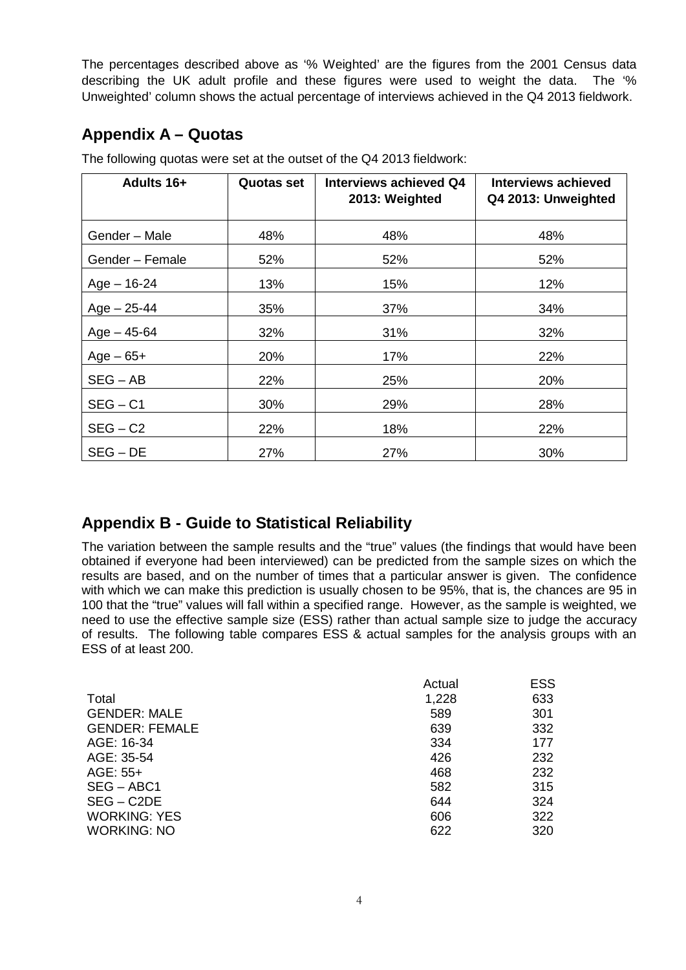The percentages described above as '% Weighted' are the figures from the 2001 Census data describing the UK adult profile and these figures were used to weight the data. The '% Unweighted' column shows the actual percentage of interviews achieved in the Q4 2013 fieldwork.

## **Appendix A – Quotas**

| <b>Adults 16+</b> | <b>Quotas set</b> | Interviews achieved Q4<br>2013: Weighted | <b>Interviews achieved</b><br>Q4 2013: Unweighted |
|-------------------|-------------------|------------------------------------------|---------------------------------------------------|
| Gender - Male     | 48%               | 48%                                      | 48%                                               |
| Gender - Female   | 52%               | 52%                                      | 52%                                               |
| $Age - 16-24$     | 13%               | 15%                                      | 12%                                               |
| $Age - 25-44$     | 35%               | 37%                                      | 34%                                               |
| $Age - 45-64$     | 32%               | 31%                                      | 32%                                               |
| $Age - 65 +$      | 20%               | 17%                                      | 22%                                               |
| $SEG - AB$        | 22%               | 25%                                      | 20%                                               |
| $SEG - C1$        | 30%               | 29%                                      | 28%                                               |
| $SEG - C2$        | 22%               | 18%                                      | 22%                                               |
| $SEG - DE$        | 27%               | 27%                                      | 30%                                               |

The following quotas were set at the outset of the Q4 2013 fieldwork:

# **Appendix B - Guide to Statistical Reliability**

The variation between the sample results and the "true" values (the findings that would have been obtained if everyone had been interviewed) can be predicted from the sample sizes on which the results are based, and on the number of times that a particular answer is given. The confidence with which we can make this prediction is usually chosen to be 95%, that is, the chances are 95 in 100 that the "true" values will fall within a specified range. However, as the sample is weighted, we need to use the effective sample size (ESS) rather than actual sample size to judge the accuracy of results. The following table compares ESS & actual samples for the analysis groups with an ESS of at least 200.

|                       | Actual | <b>ESS</b> |
|-----------------------|--------|------------|
| Total                 | 1,228  | 633        |
| <b>GENDER: MALE</b>   | 589    | 301        |
| <b>GENDER: FEMALE</b> | 639    | 332        |
| AGE: 16-34            | 334    | 177        |
| AGE: 35-54            | 426    | 232        |
| AGE: 55+              | 468    | 232        |
| $SEG - ABC1$          | 582    | 315        |
| $SEG - C2DE$          | 644    | 324        |
| <b>WORKING: YES</b>   | 606    | 322        |
| <b>WORKING: NO</b>    | 622    | 320        |